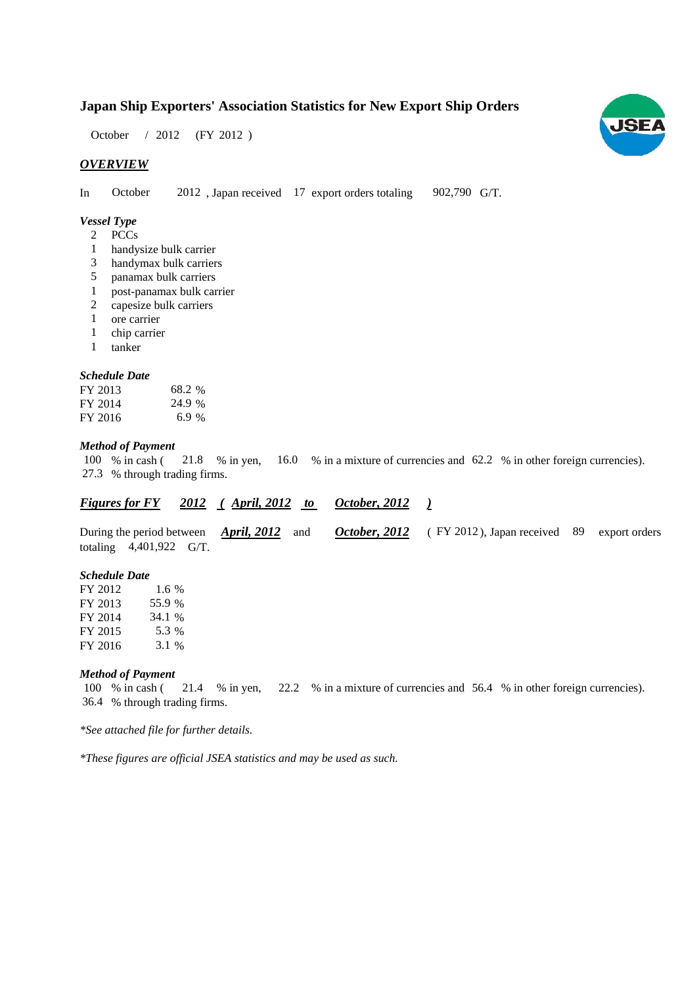## **Japan Ship Exporters' Association Statistics for New Export Ship Orders**

October / 2012 (FY 2012)

## *OVERVIEW*

In October 2012, Japan received 17 export orders totaling 902,790 G/T. 902,790 G/T.

## *Vessel Type*

- PCCs 2
- handysize bulk carrier 1
- handymax bulk carriers 3
- panamax bulk carriers 5
- post-panamax bulk carrier 1
- capesize bulk carriers 2
- ore carrier 1
- chip carrier 1
- tanker 1

#### *Schedule Date*

| FY 2013 | 68.2 % |
|---------|--------|
| FY 2014 | 24.9 % |
| FY 2016 | 6.9%   |

#### *Method of Payment*

100 % in cash (21.8 % in yen, 16.0 % in a mixture of currencies and 62.2 % in other foreign currencies). % through trading firms. 27.3

|  | <b>Figures for FY</b> | 2012 | $\langle$ April, 2012 |  | October, 2012 |
|--|-----------------------|------|-----------------------|--|---------------|
|--|-----------------------|------|-----------------------|--|---------------|

During the period between *April, 2012* and *October, 2012* (FY 2012), Japan received 89 export orders totaling  $4,401,922$  G/T. *April, 2012* and *October, 2012*

#### *Schedule Date*

| FY 2012 | 1.6 $%$ |
|---------|---------|
| FY 2013 | 55.9 %  |
| FY 2014 | 34.1 %  |
| FY 2015 | 5.3 %   |
| FY 2016 | 3.1 %   |

#### *Method of Payment*

% in cash ( $\frac{21.4}{8}$  in yen,  $\frac{22.2}{8}$  in a mixture of currencies and 56.4 % in other foreign currencies). % through trading firms. 36.4 21.4  $%$  in yen, 100 % in cash (

*\*See attached file for further details.*

*\*These figures are official JSEA statistics and may be used as such.*

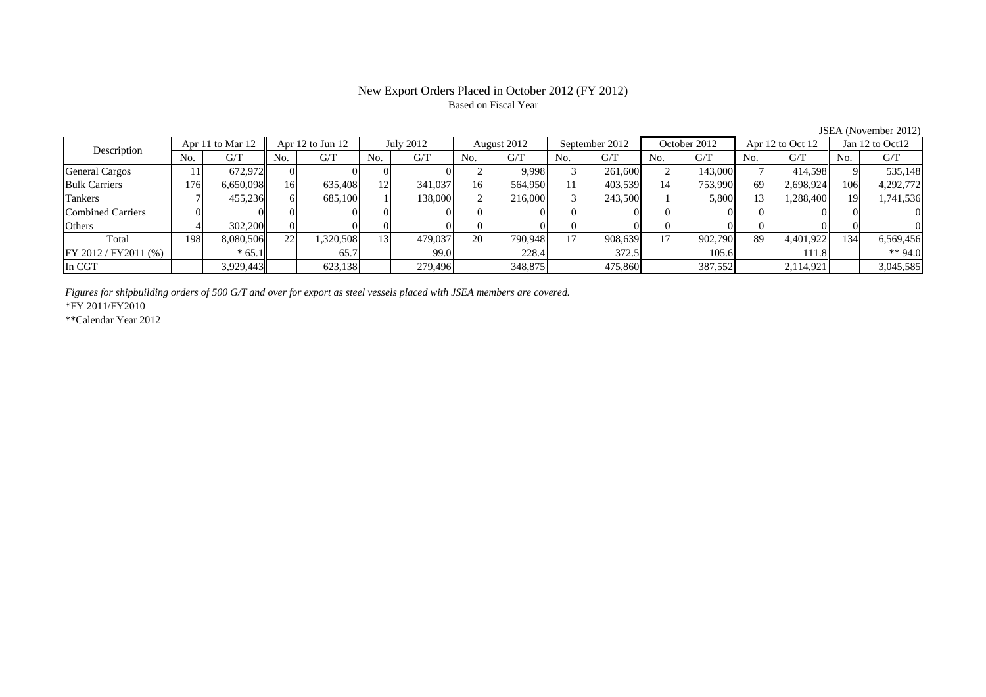## New Export Orders Placed in October 2012 (FY 2012) Based on Fiscal Year

JSEA (November 2012)<br> $\frac{1}{2}$  Jan 12 to Oct12 No. G/T No. G/T No. G/T No. G/T No. G/T No. G/T No. G/T No. G/T $\mathrm{G}/\mathrm{T}$ General Cargos ( | 11 | 672,972 | 0 0 0 0 0 0 2 9,998 3 261,600 2 143,000 7 414,598 9 535,148 Bulk Carriers 176 6,650,098 16 635,408 12 341,037 16 564,950 11 403,539 14 753,990 69 2,698,924 106 4,292,772 Tankers | 7| 455,236|| 6| 685,100| 1| 138,000| 2| 216,000| 3| 243,500| 1| 5,800| 13| 1,288,400| 19| 1,741,536 Combined Carriers 0 0 0 0 0 0 0 0 0 0 0 0 0 0 0 0Others 4 302,200 0 0 0 0 0 0 0 0 0 0 0 0 0 0 Total 198 8,080,506 22 1,320,508 13 479,037 20 790,948 17 908,639 17 902,790 89 4,401,922 134 6,569,456 FY 2012 / FY2011 (%)  $* 65.1$  65.7 99.0 228.4 372.5 105.6 111.8  $* 94.0$ In CGT | | 3,929,443|| | 623,138| | 279,496| | 348,875| | 475,860| | 387,552| | 2,114,921|| | 3,045,585 Description Apr 11 to Mar 12 Apr 12 to Jun 12 July 2012 August 2012<br>No. 6/T No. 6/T No. 6/T No. 6/T No. 6/T September 2012  $\overline{)$  October 2012 Apr 12 to Oct 12

*Figures for shipbuilding orders of 500 G/T and over for export as steel vessels placed with JSEA members are covered.*

\*FY 2011/FY2010

\*\*Calendar Year 2012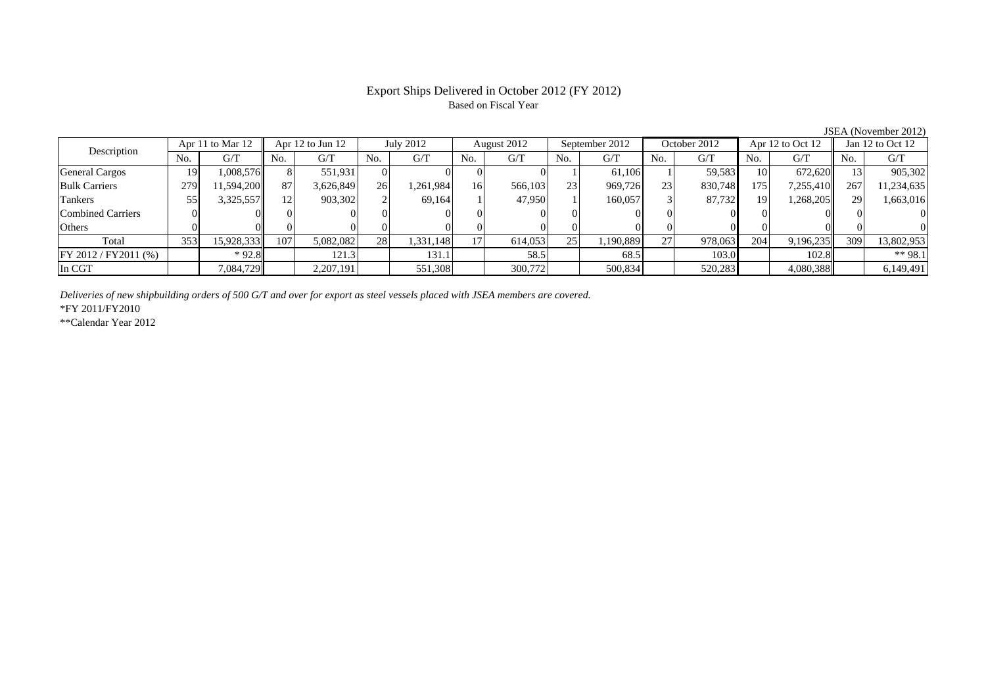## Export Ships Delivered in October 2012 (FY 2012) Based on Fiscal Year

|                          |     |                  |     |                      |     |           |     |             |     |                |     |              |     |                  |           | 50.11110100120127    |
|--------------------------|-----|------------------|-----|----------------------|-----|-----------|-----|-------------|-----|----------------|-----|--------------|-----|------------------|-----------|----------------------|
| Description              |     | Apr 11 to Mar 12 |     | Apr $12$ to Jun $12$ |     | July 2012 |     | August 2012 |     | September 2012 |     | October 2012 |     | Apr 12 to Oct 12 |           | Jan $12$ to Oct $12$ |
|                          | No. | G/T              | No. | G/T                  | No. | G/T       | No. | G/T         | No. | G/T            | No. | G/T          | No. | G/T              | No.       | G/T                  |
| General Cargos           | 19  | 1,008,576        |     | 551.931              |     |           |     |             |     | 61.106         |     | 59,583       | 10  | 672,620          |           | 905,302              |
| <b>Bulk Carriers</b>     | 279 | 11,594,200       | 87  | 3,626,849            | 26  | 1,261,984 | 16  | 566,103     | 23  | 969,726        | 23  | 830,748      | 175 | 7,255,410        | 267       | 11,234,635           |
| Tankers                  | 55  | 3,325,557        | 12  | 903,302              |     | 69,164    |     | 47.950      |     | 160,057        |     | 87,732       | 19  | 1,268,205        | <b>29</b> | 1,663,016            |
| <b>Combined Carriers</b> |     |                  |     |                      |     |           |     |             |     |                |     |              |     |                  |           |                      |
| Others                   |     |                  |     |                      |     |           |     |             |     |                |     |              |     |                  |           |                      |
| Total                    | 353 | 15,928,333       | 107 | 5,082,082            | 281 | 1,331,148 | 17  | 614,053     | 25  | 1,190,889      | 27  | 978,063      | 204 | 9,196,235        | 309       | 13,802,953           |
| $FY 2012 / FY 2011$ (%)  |     | $*92.8$          |     | 121.3                |     | 131.1     |     | 58.5        |     | 68.5           |     | 103.0        |     | 102.8            |           | $** 98.1$            |
| In CGT                   |     | 7,084,729        |     | 2,207,191            |     | 551,308   |     | 300,772     |     | 500,834        |     | 520,283      |     | 4,080,388        |           | 6,149,491            |
|                          |     |                  |     |                      |     |           |     |             |     |                |     |              |     |                  |           |                      |

*Deliveries of new shipbuilding orders of 500 G/T and over for export as steel vessels placed with JSEA members are covered.*

\*FY 2011/FY2010

\*\*Calendar Year 2012

JSEA (November 2012)